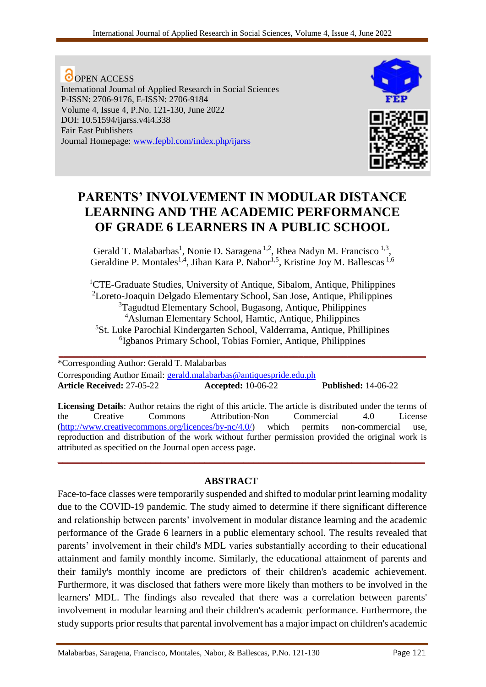**O**OPEN ACCESS International Journal of Applied Research in Social Sciences P-ISSN: 2706-9176, E-ISSN: 2706-9184 Volume 4, Issue 4, P.No. 121-130, June 2022 DOI: 10.51594/ijarss.v4i4.338 Fair East Publishers Journal Homepage: [www.fepbl.com/index.php/ijarss](http://www.fepbl.com/index.php/ijarss)



# **PARENTS' INVOLVEMENT IN MODULAR DISTANCE LEARNING AND THE ACADEMIC PERFORMANCE OF GRADE 6 LEARNERS IN A PUBLIC SCHOOL**

Gerald T. Malabarbas<sup>1</sup>, Nonie D. Saragena<sup>1,2</sup>, Rhea Nadyn M. Francisco<sup>1,3</sup>, Geraldine P. Montales<sup>1,4</sup>, Jihan Kara P. Nabor<sup>1,5</sup>, Kristine Joy M. Ballescas<sup>1,6</sup>

<sup>1</sup>CTE-Graduate Studies, University of Antique, Sibalom, Antique, Philippines Loreto-Joaquin Delgado Elementary School, San Jose, Antique, Philippines Tagudtud Elementary School, Bugasong, Antique, Philippines Asluman Elementary School, Hamtic, Antique, Philippines St. Luke Parochial Kindergarten School, Valderrama, Antique, Phillipines Igbanos Primary School, Tobias Fornier, Antique, Philippines **\_\_\_\_\_\_\_\_\_\_\_\_\_\_\_\_\_\_\_\_\_\_\_\_\_\_\_\_\_\_\_\_\_\_\_\_\_\_\_\_\_\_\_\_\_\_\_\_\_\_\_\_\_\_\_\_\_\_\_\_\_\_\_\_\_\_\_\_\_\_\_\_\_\_\_**

\*Corresponding Author: Gerald T. Malabarbas Corresponding Author Email: [gerald.malabarbas@antiquespride.edu.ph](mailto:gerald.malabarbas@antiquespride.edu.ph) **Article Received:** 27-05-22 **Accepted:** 10-06-22 **Published:** 14-06-22

**Licensing Details**: Author retains the right of this article. The article is distributed under the terms of the Creative Commons Attribution-Non Commercial 4.0 License [\(http://www.creativecommons.org/licences/by-nc/4.0/\)](http://www.creativecommons.org/licences/by-nc/4.0/) which permits non-commercial use, reproduction and distribution of the work without further permission provided the original work is attributed as specified on the Journal open access page.

**\_\_\_\_\_\_\_\_\_\_\_\_\_\_\_\_\_\_\_\_\_\_\_\_\_\_\_\_\_\_\_\_\_\_\_\_\_\_\_\_\_\_\_\_\_\_\_\_\_\_\_\_\_\_\_\_\_\_\_\_\_\_\_\_\_\_\_\_\_\_\_\_\_\_\_**

## **ABSTRACT**

Face-to-face classes were temporarily suspended and shifted to modular print learning modality due to the COVID-19 pandemic. The study aimed to determine if there significant difference and relationship between parents' involvement in modular distance learning and the academic performance of the Grade 6 learners in a public elementary school. The results revealed that parents' involvement in their child's MDL varies substantially according to their educational attainment and family monthly income. Similarly, the educational attainment of parents and their family's monthly income are predictors of their children's academic achievement. Furthermore, it was disclosed that fathers were more likely than mothers to be involved in the learners' MDL. The findings also revealed that there was a correlation between parents' involvement in modular learning and their children's academic performance. Furthermore, the study supports prior results that parental involvement has a major impact on children's academic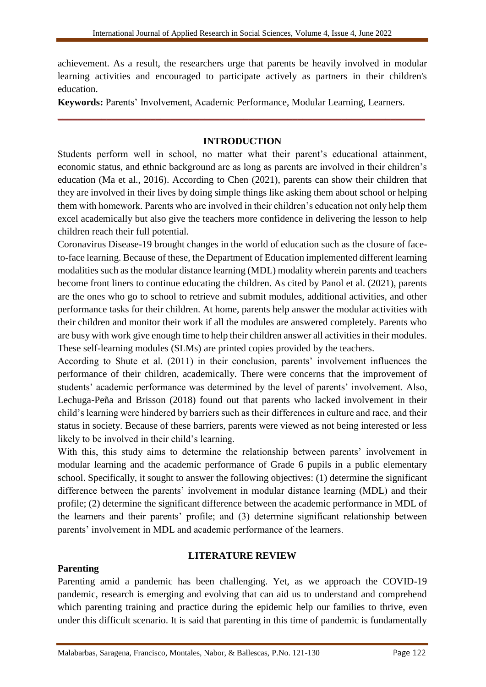achievement. As a result, the researchers urge that parents be heavily involved in modular learning activities and encouraged to participate actively as partners in their children's education.

**Keywords:** Parents' Involvement, Academic Performance, Modular Learning, Learners.

## **INTRODUCTION**

**\_\_\_\_\_\_\_\_\_\_\_\_\_\_\_\_\_\_\_\_\_\_\_\_\_\_\_\_\_\_\_\_\_\_\_\_\_\_\_\_\_\_\_\_\_\_\_\_\_\_\_\_\_\_\_\_\_\_\_\_\_\_\_\_\_\_\_\_\_\_\_\_\_\_\_**

Students perform well in school, no matter what their parent's educational attainment, economic status, and ethnic background are as long as parents are involved in their children's education (Ma et al., 2016). According to Chen (2021), parents can show their children that they are involved in their lives by doing simple things like asking them about school or helping them with homework. Parents who are involved in their children's education not only help them excel academically but also give the teachers more confidence in delivering the lesson to help children reach their full potential.

Coronavirus Disease-19 brought changes in the world of education such as the closure of faceto-face learning. Because of these, the Department of Education implemented different learning modalities such as the modular distance learning (MDL) modality wherein parents and teachers become front liners to continue educating the children. As cited by Panol et al. (2021), parents are the ones who go to school to retrieve and submit modules, additional activities, and other performance tasks for their children. At home, parents help answer the modular activities with their children and monitor their work if all the modules are answered completely. Parents who are busy with work give enough time to help their children answer all activities in their modules. These self-learning modules (SLMs) are printed copies provided by the teachers.

According to Shute et al. (2011) in their conclusion, parents' involvement influences the performance of their children, academically. There were concerns that the improvement of students' academic performance was determined by the level of parents' involvement. Also, Lechuga-Peña and Brisson (2018) found out that parents who lacked involvement in their child's learning were hindered by barriers such as their differences in culture and race, and their status in society. Because of these barriers, parents were viewed as not being interested or less likely to be involved in their child's learning.

With this, this study aims to determine the relationship between parents' involvement in modular learning and the academic performance of Grade 6 pupils in a public elementary school. Specifically, it sought to answer the following objectives: (1) determine the significant difference between the parents' involvement in modular distance learning (MDL) and their profile; (2) determine the significant difference between the academic performance in MDL of the learners and their parents' profile; and (3) determine significant relationship between parents' involvement in MDL and academic performance of the learners.

## **Parenting**

## **LITERATURE REVIEW**

Parenting amid a pandemic has been challenging. Yet, as we approach the COVID-19 pandemic, research is emerging and evolving that can aid us to understand and comprehend which parenting training and practice during the epidemic help our families to thrive, even under this difficult scenario. It is said that parenting in this time of pandemic is fundamentally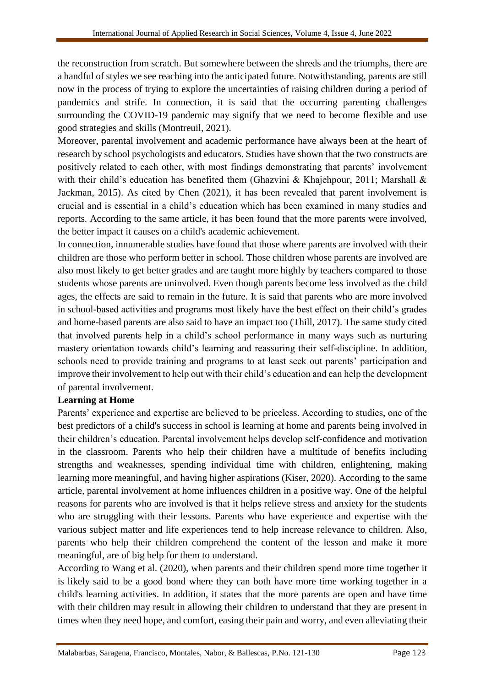the reconstruction from scratch. But somewhere between the shreds and the triumphs, there are a handful of styles we see reaching into the anticipated future. Notwithstanding, parents are still now in the process of trying to explore the uncertainties of raising children during a period of pandemics and strife. In connection, it is said that the occurring parenting challenges surrounding the COVID-19 pandemic may signify that we need to become flexible and use good strategies and skills (Montreuil, 2021).

Moreover, parental involvement and academic performance have always been at the heart of research by school psychologists and educators. Studies have shown that the two constructs are positively related to each other, with most findings demonstrating that parents' involvement with their child's education has benefited them (Ghazvini & Khajehpour, 2011; Marshall & Jackman, 2015). As cited by Chen (2021), it has been revealed that parent involvement is crucial and is essential in a child's education which has been examined in many studies and reports. According to the same article, it has been found that the more parents were involved, the better impact it causes on a child's academic achievement.

In connection, innumerable studies have found that those where parents are involved with their children are those who perform better in school. Those children whose parents are involved are also most likely to get better grades and are taught more highly by teachers compared to those students whose parents are uninvolved. Even though parents become less involved as the child ages, the effects are said to remain in the future. It is said that parents who are more involved in school-based activities and programs most likely have the best effect on their child's grades and home-based parents are also said to have an impact too (Thill, 2017). The same study cited that involved parents help in a child's school performance in many ways such as nurturing mastery orientation towards child's learning and reassuring their self-discipline. In addition, schools need to provide training and programs to at least seek out parents' participation and improve their involvement to help out with their child's education and can help the development of parental involvement.

#### **Learning at Home**

Parents' experience and expertise are believed to be priceless. According to studies, one of the best predictors of a child's success in school is learning at home and parents being involved in their children's education. Parental involvement helps develop self-confidence and motivation in the classroom. Parents who help their children have a multitude of benefits including strengths and weaknesses, spending individual time with children, enlightening, making learning more meaningful, and having higher aspirations (Kiser, 2020). According to the same article, parental involvement at home influences children in a positive way. One of the helpful reasons for parents who are involved is that it helps relieve stress and anxiety for the students who are struggling with their lessons. Parents who have experience and expertise with the various subject matter and life experiences tend to help increase relevance to children. Also, parents who help their children comprehend the content of the lesson and make it more meaningful, are of big help for them to understand.

According to Wang et al. (2020), when parents and their children spend more time together it is likely said to be a good bond where they can both have more time working together in a child's learning activities. In addition, it states that the more parents are open and have time with their children may result in allowing their children to understand that they are present in times when they need hope, and comfort, easing their pain and worry, and even alleviating their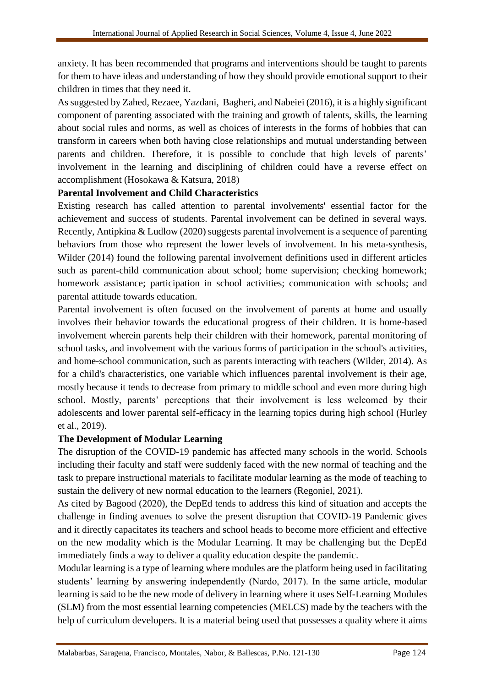anxiety. It has been recommended that programs and interventions should be taught to parents for them to have ideas and understanding of how they should provide emotional support to their children in times that they need it.

As suggested by Zahed, Rezaee, Yazdani, Bagheri, and Nabeiei (2016), it is a highly significant component of parenting associated with the training and growth of talents, skills, the learning about social rules and norms, as well as choices of interests in the forms of hobbies that can transform in careers when both having close relationships and mutual understanding between parents and children. Therefore, it is possible to conclude that high levels of parents' involvement in the learning and disciplining of children could have a reverse effect on accomplishment (Hosokawa & Katsura, 2018)

### **Parental Involvement and Child Characteristics**

Existing research has called attention to parental involvements' essential factor for the achievement and success of students. Parental involvement can be defined in several ways. Recently, Antipkina & Ludlow (2020) suggests parental involvement is a sequence of parenting behaviors from those who represent the lower levels of involvement. In his meta-synthesis, Wilder (2014) found the following parental involvement definitions used in different articles such as parent-child communication about school; home supervision; checking homework; homework assistance; participation in school activities; communication with schools; and parental attitude towards education.

Parental involvement is often focused on the involvement of parents at home and usually involves their behavior towards the educational progress of their children. It is home-based involvement wherein parents help their children with their homework, parental monitoring of school tasks, and involvement with the various forms of participation in the school's activities, and home-school communication, such as parents interacting with teachers (Wilder, 2014). As for a child's characteristics, one variable which influences parental involvement is their age, mostly because it tends to decrease from primary to middle school and even more during high school. Mostly, parents' perceptions that their involvement is less welcomed by their adolescents and lower parental self-efficacy in the learning topics during high school (Hurley et al., 2019).

## **The Development of Modular Learning**

The disruption of the COVID-19 pandemic has affected many schools in the world. Schools including their faculty and staff were suddenly faced with the new normal of teaching and the task to prepare instructional materials to facilitate modular learning as the mode of teaching to sustain the delivery of new normal education to the learners (Regoniel, 2021).

As cited by Bagood (2020), the DepEd tends to address this kind of situation and accepts the challenge in finding avenues to solve the present disruption that COVID-19 Pandemic gives and it directly capacitates its teachers and school heads to become more efficient and effective on the new modality which is the Modular Learning. It may be challenging but the DepEd immediately finds a way to deliver a quality education despite the pandemic.

Modular learning is a type of learning where modules are the platform being used in facilitating students' learning by answering independently (Nardo, 2017). In the same article, modular learning is said to be the new mode of delivery in learning where it uses Self-Learning Modules (SLM) from the most essential learning competencies (MELCS) made by the teachers with the help of curriculum developers. It is a material being used that possesses a quality where it aims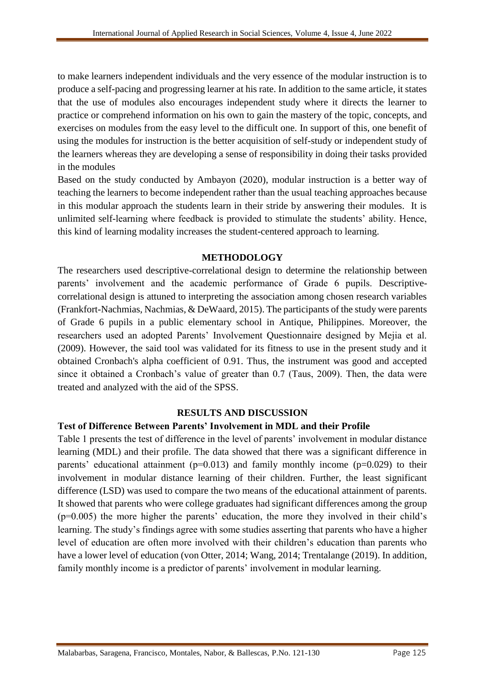to make learners independent individuals and the very essence of the modular instruction is to produce a self-pacing and progressing learner at his rate. In addition to the same article, it states that the use of modules also encourages independent study where it directs the learner to practice or comprehend information on his own to gain the mastery of the topic, concepts, and exercises on modules from the easy level to the difficult one. In support of this, one benefit of using the modules for instruction is the better acquisition of self-study or independent study of the learners whereas they are developing a sense of responsibility in doing their tasks provided in the modules

Based on the study conducted by Ambayon (2020), modular instruction is a better way of teaching the learners to become independent rather than the usual teaching approaches because in this modular approach the students learn in their stride by answering their modules. It is unlimited self-learning where feedback is provided to stimulate the students' ability. Hence, this kind of learning modality increases the student-centered approach to learning.

#### **METHODOLOGY**

The researchers used descriptive-correlational design to determine the relationship between parents' involvement and the academic performance of Grade 6 pupils. Descriptivecorrelational design is attuned to interpreting the association among chosen research variables (Frankfort-Nachmias, Nachmias, & DeWaard, 2015). The participants of the study were parents of Grade 6 pupils in a public elementary school in Antique, Philippines. Moreover, the researchers used an adopted Parents' Involvement Questionnaire designed by Mejia et al. (2009). However, the said tool was validated for its fitness to use in the present study and it obtained Cronbach's alpha coefficient of 0.91. Thus, the instrument was good and accepted since it obtained a Cronbach's value of greater than 0.7 (Taus, 2009). Then, the data were treated and analyzed with the aid of the SPSS.

#### **RESULTS AND DISCUSSION**

#### **Test of Difference Between Parents' Involvement in MDL and their Profile**

Table 1 presents the test of difference in the level of parents' involvement in modular distance learning (MDL) and their profile. The data showed that there was a significant difference in parents' educational attainment ( $p=0.013$ ) and family monthly income ( $p=0.029$ ) to their involvement in modular distance learning of their children. Further, the least significant difference (LSD) was used to compare the two means of the educational attainment of parents. It showed that parents who were college graduates had significant differences among the group (p=0.005) the more higher the parents' education, the more they involved in their child's learning. The study's findings agree with some studies asserting that parents who have a higher level of education are often more involved with their children's education than parents who have a lower level of education (von Otter, 2014; Wang, 2014; Trentalange (2019). In addition, family monthly income is a predictor of parents' involvement in modular learning.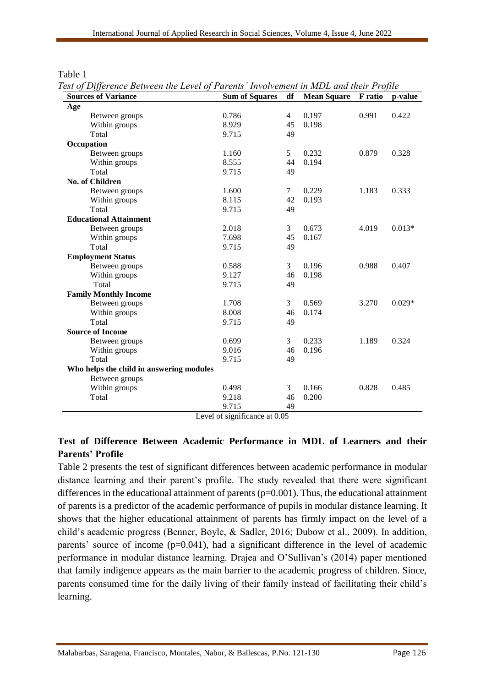| ani |  |
|-----|--|
|-----|--|

*Test of Difference Between the Level of Parents' Involvement in MDL and their Profile*

| <b>Sources of Variance</b>               | <b>Sum of Squares</b> | df | <b>Mean Square</b> | F ratio | p-value  |
|------------------------------------------|-----------------------|----|--------------------|---------|----------|
| Age                                      |                       |    |                    |         |          |
| Between groups                           | 0.786                 | 4  | 0.197              | 0.991   | 0.422    |
| Within groups                            | 8.929                 | 45 | 0.198              |         |          |
| Total                                    | 9.715                 | 49 |                    |         |          |
| Occupation                               |                       |    |                    |         |          |
| Between groups                           | 1.160                 | 5  | 0.232              | 0.879   | 0.328    |
| Within groups                            | 8.555                 | 44 | 0.194              |         |          |
| Total                                    | 9.715                 | 49 |                    |         |          |
| <b>No. of Children</b>                   |                       |    |                    |         |          |
| Between groups                           | 1.600                 | 7  | 0.229              | 1.183   | 0.333    |
| Within groups                            | 8.115                 | 42 | 0.193              |         |          |
| Total                                    | 9.715                 | 49 |                    |         |          |
| <b>Educational Attainment</b>            |                       |    |                    |         |          |
| Between groups                           | 2.018                 | 3  | 0.673              | 4.019   | $0.013*$ |
| Within groups                            | 7.698                 | 45 | 0.167              |         |          |
| Total                                    | 9.715                 | 49 |                    |         |          |
| <b>Employment Status</b>                 |                       |    |                    |         |          |
| Between groups                           | 0.588                 | 3  | 0.196              | 0.988   | 0.407    |
| Within groups                            | 9.127                 | 46 | 0.198              |         |          |
| Total                                    | 9.715                 | 49 |                    |         |          |
| <b>Family Monthly Income</b>             |                       |    |                    |         |          |
| Between groups                           | 1.708                 | 3  | 0.569              | 3.270   | $0.029*$ |
| Within groups                            | 8.008                 | 46 | 0.174              |         |          |
| Total                                    | 9.715                 | 49 |                    |         |          |
| <b>Source of Income</b>                  |                       |    |                    |         |          |
| Between groups                           | 0.699                 | 3  | 0.233              | 1.189   | 0.324    |
| Within groups                            | 9.016                 | 46 | 0.196              |         |          |
| Total                                    | 9.715                 | 49 |                    |         |          |
| Who helps the child in answering modules |                       |    |                    |         |          |
| Between groups                           |                       |    |                    |         |          |
| Within groups                            | 0.498                 | 3  | 0.166              | 0.828   | 0.485    |
| Total                                    | 9.218                 | 46 | 0.200              |         |          |
|                                          | 9.715                 | 49 |                    |         |          |

Level of significance at 0.05

## **Test of Difference Between Academic Performance in MDL of Learners and their Parents' Profile**

Table 2 presents the test of significant differences between academic performance in modular distance learning and their parent's profile. The study revealed that there were significant differences in the educational attainment of parents (p=0.001). Thus, the educational attainment of parents is a predictor of the academic performance of pupils in modular distance learning. It shows that the higher educational attainment of parents has firmly impact on the level of a child's academic progress (Benner, Boyle, & Sadler, 2016; Dubow et al., 2009). In addition, parents' source of income (p=0.041), had a significant difference in the level of academic performance in modular distance learning. Drajea and O'Sullivan's (2014) paper mentioned that family indigence appears as the main barrier to the academic progress of children. Since, parents consumed time for the daily living of their family instead of facilitating their child's learning.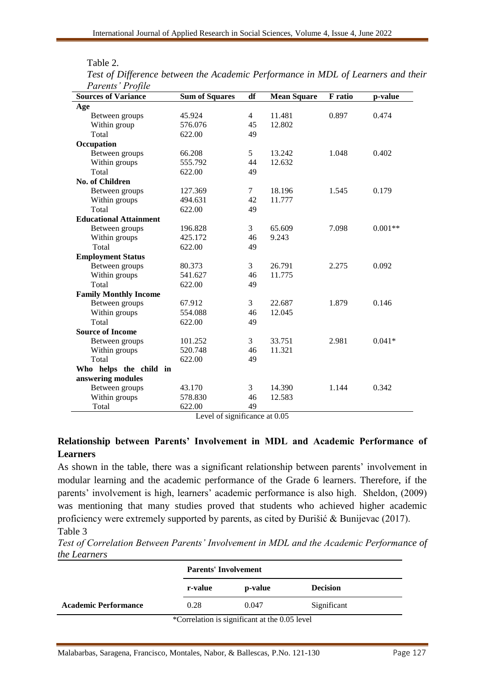| able |  |
|------|--|
|      |  |

| Parents' Profile              |                                           |                |                    |                |           |
|-------------------------------|-------------------------------------------|----------------|--------------------|----------------|-----------|
| <b>Sources of Variance</b>    | <b>Sum of Squares</b>                     | df             | <b>Mean Square</b> | <b>F</b> ratio | p-value   |
| Age                           |                                           |                |                    |                |           |
| Between groups                | 45.924                                    | $\overline{4}$ | 11.481             | 0.897          | 0.474     |
| Within group                  | 576.076                                   | 45             | 12.802             |                |           |
| Total                         | 622.00                                    | 49             |                    |                |           |
| Occupation                    |                                           |                |                    |                |           |
| Between groups                | 66.208                                    | 5              | 13.242             | 1.048          | 0.402     |
| Within groups                 | 555.792                                   | 44             | 12.632             |                |           |
| Total                         | 622.00                                    | 49             |                    |                |           |
| <b>No. of Children</b>        |                                           |                |                    |                |           |
| Between groups                | 127.369                                   | 7              | 18.196             | 1.545          | 0.179     |
| Within groups                 | 494.631                                   | 42             | 11.777             |                |           |
| Total                         | 622.00                                    | 49             |                    |                |           |
| <b>Educational Attainment</b> |                                           |                |                    |                |           |
| Between groups                | 196.828                                   | 3              | 65.609             | 7.098          | $0.001**$ |
| Within groups                 | 425.172                                   | 46             | 9.243              |                |           |
| Total                         | 622.00                                    | 49             |                    |                |           |
| <b>Employment Status</b>      |                                           |                |                    |                |           |
| Between groups                | 80.373                                    | 3              | 26.791             | 2.275          | 0.092     |
| Within groups                 | 541.627                                   | 46             | 11.775             |                |           |
| Total                         | 622.00                                    | 49             |                    |                |           |
| <b>Family Monthly Income</b>  |                                           |                |                    |                |           |
| Between groups                | 67.912                                    | 3              | 22.687             | 1.879          | 0.146     |
| Within groups                 | 554.088                                   | 46             | 12.045             |                |           |
| Total                         | 622.00                                    | 49             |                    |                |           |
| <b>Source of Income</b>       |                                           |                |                    |                |           |
| Between groups                | 101.252                                   | 3              | 33.751             | 2.981          | $0.041*$  |
| Within groups                 | 520.748                                   | 46             | 11.321             |                |           |
| Total                         | 622.00                                    | 49             |                    |                |           |
| Who helps the child in        |                                           |                |                    |                |           |
| answering modules             |                                           |                |                    |                |           |
| Between groups                | 43.170                                    | 3              | 14.390             | 1.144          | 0.342     |
| Within groups                 | 578.830                                   | 46             | 12.583             |                |           |
| Total                         | 622.00<br>Lavel of significance at $0.05$ | 49             |                    |                |           |

*Test of Difference between the Academic Performance in MDL of Learners and their* 

Level of significance at 0.05

## **Relationship between Parents' Involvement in MDL and Academic Performance of Learners**

As shown in the table, there was a significant relationship between parents' involvement in modular learning and the academic performance of the Grade 6 learners. Therefore, if the parents' involvement is high, learners' academic performance is also high. Sheldon, (2009) was mentioning that many studies proved that students who achieved higher academic proficiency were extremely supported by parents, as cited by Đurišić & Bunijevac (2017). Table 3

*Test of Correlation Between Parents' Involvement in MDL and the Academic Performance of the Learners*

|                             | <b>Parents' Involvement</b>                   |         |                 |  |
|-----------------------------|-----------------------------------------------|---------|-----------------|--|
|                             | r-value                                       | p-value | <b>Decision</b> |  |
| <b>Academic Performance</b> | 0.28                                          | 0.047   | Significant     |  |
|                             | *Correlation is significant at the 0.05 level |         |                 |  |

Malabarbas, Saragena, Francisco, Montales, Nabor, & Ballescas, P.No. 121-130 Page 127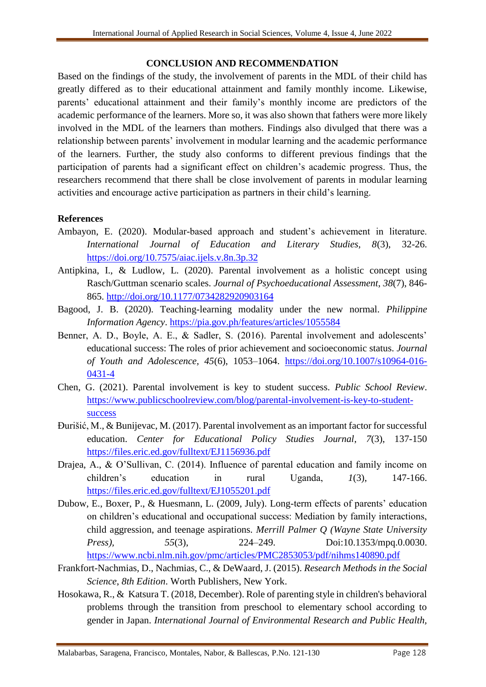#### **CONCLUSION AND RECOMMENDATION**

Based on the findings of the study, the involvement of parents in the MDL of their child has greatly differed as to their educational attainment and family monthly income. Likewise, parents' educational attainment and their family's monthly income are predictors of the academic performance of the learners. More so, it was also shown that fathers were more likely involved in the MDL of the learners than mothers. Findings also divulged that there was a relationship between parents' involvement in modular learning and the academic performance of the learners. Further, the study also conforms to different previous findings that the participation of parents had a significant effect on children's academic progress. Thus, the researchers recommend that there shall be close involvement of parents in modular learning activities and encourage active participation as partners in their child's learning.

#### **References**

- Ambayon, E. (2020). Modular-based approach and student's achievement in literature. *International Journal of Education and Literary Studies, 8*(3), 32-26. <https://doi.org/10.7575/aiac.ijels.v.8n.3p.32>
- Antipkina, I., & Ludlow, L. (2020). Parental involvement as a holistic concept using Rasch/Guttman scenario scales. *Journal of Psychoeducational Assessment*, *38*(7), 846- 865.<http://doi.org/10.1177/0734282920903164>
- Bagood, J. B. (2020). Teaching-learning modality under the new normal. *Philippine Information Agency*.<https://pia.gov.ph/features/articles/1055584>
- Benner, A. D., Boyle, A. E., & Sadler, S. (2016). Parental involvement and adolescents' educational success: The roles of prior achievement and socioeconomic status. *Journal of Youth and Adolescence, 45*(6), 1053–1064. [https://doi.org/10.1007/s10964-016-](https://doi.org/10.1007/s10964-016-0431-4) [0431-4](https://doi.org/10.1007/s10964-016-0431-4)
- Chen, G. (2021). Parental involvement is key to student success. *Public School Review*. [https://www.publicschoolreview.com/blog/parental-involvement-is-key-to-student](https://www.publicschoolreview.com/blog/parental-involvement-is-key-to-student-success)[success](https://www.publicschoolreview.com/blog/parental-involvement-is-key-to-student-success)
- Đurišić, M., & Bunijevac, M. (2017). Parental involvement as an important factor for successful education. *Center for Educational Policy Studies Journal*, *7*(3), 137-150 <https://files.eric.ed.gov/fulltext/EJ1156936.pdf>
- Drajea, A., & O'Sullivan, C. (2014). Influence of parental education and family income on children's education in rural Uganda, *1*(3), 147-166. <https://files.eric.ed.gov/fulltext/EJ1055201.pdf>
- Dubow, E., Boxer, P., & Huesmann, L. (2009, July). Long-term effects of parents' education on children's educational and occupational success: Mediation by family interactions, child aggression, and teenage aspirations. *Merrill Palmer Q (Wayne State University Press), 55*(3), 224–249. Doi:10.1353/mpq.0.0030. <https://www.ncbi.nlm.nih.gov/pmc/articles/PMC2853053/pdf/nihms140890.pdf>
- Frankfort-Nachmias, D., Nachmias, C., & DeWaard, J. (2015). *Research Methods in the Social Science*, *8th Edition*. Worth Publishers, New York.
- Hosokawa, R., & Katsura T. (2018, December). Role of parenting style in children's behavioral problems through the transition from preschool to elementary school according to gender in Japan. *International Journal of Environmental Research and Public Health,*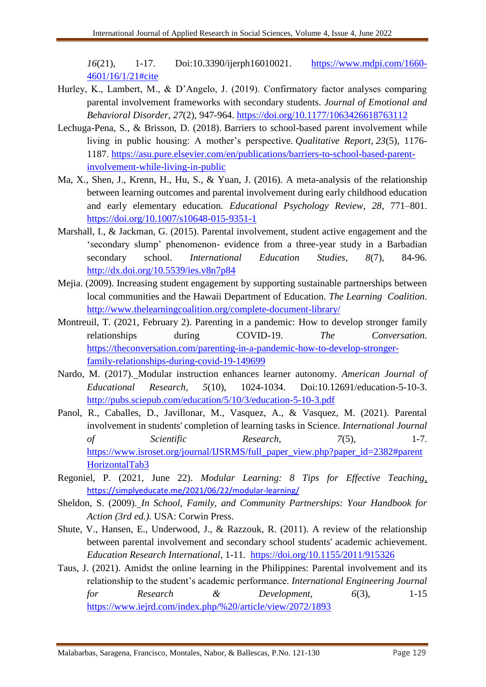*16*(21), 1-17. Doi:10.3390/ijerph16010021. [https://www.mdpi.com/1660-](https://www.mdpi.com/1660-4601/16/1/21#cite) [4601/16/1/21#cite](https://www.mdpi.com/1660-4601/16/1/21#cite)

- Hurley, K., Lambert, M., & D'Angelo, J. (2019). Confirmatory factor analyses comparing parental involvement frameworks with secondary students. *Journal of Emotional and Behavioral Disorder*, *27*(2), 947-964.<https://doi.org/10.1177/1063426618763112>
- Lechuga-Pena, S., & Brisson, D. (2018). Barriers to school-based parent involvement while living in public housing: A mother's perspective. *Qualitative Report*, *23*(5), 1176- 1187. [https://asu.pure.elsevier.com/en/publications/barriers-to-school-based-parent](https://asu.pure.elsevier.com/en/publications/barriers-to-school-based-parent-involvement-while-living-in-public)[involvement-while-living-in-public](https://asu.pure.elsevier.com/en/publications/barriers-to-school-based-parent-involvement-while-living-in-public)
- Ma, X., Shen, J., Krenn, H., Hu, S., & Yuan, J. (2016). A meta-analysis of the relationship between learning outcomes and parental involvement during early childhood education and early elementary education. *Educational Psychology Review, 28*, 771–801. <https://doi.org/10.1007/s10648-015-9351-1>
- Marshall, I., & Jackman, G. (2015). Parental involvement, student active engagement and the 'secondary slump' phenomenon- evidence from a three-year study in a Barbadian secondary school. *International Education Studies, 8*(7), 84-96. <http://dx.doi.org/10.5539/ies.v8n7p84>
- Mejia. (2009). Increasing student engagement by supporting sustainable partnerships between local communities and the Hawaii Department of Education. *The Learning Coalition*. <http://www.thelearningcoalition.org/complete-document-library/>
- Montreuil, T. (2021, February 2). Parenting in a pandemic: How to develop stronger family relationships during COVID-19. *The Conversation.*  [https://theconversation.com/parenting-in-a-pandemic-how-to-develop-stronger](https://theconversation.com/parenting-in-a-pandemic-how-to-develop-stronger-family-relationships-during-covid-19-149699)[family-relationships-during-covid-19-149699](https://theconversation.com/parenting-in-a-pandemic-how-to-develop-stronger-family-relationships-during-covid-19-149699)
- Nardo, M. (2017). [Modular instruction enhances learner autonomy.](http://pubs.sciepub.com/education/5/10/3/index.html#Cor) *American Journal of Educational Research, 5*(10), 1024-1034. Doi:10.12691/education-5-10-3. <http://pubs.sciepub.com/education/5/10/3/education-5-10-3.pdf>
- Panol, R., Caballes, D., Javillonar, M., Vasquez, A., & Vasquez, M. (2021). Parental involvement in students' completion of learning tasks in Science. *International Journal of Scientific Research, 7*(5), 1-7. [https://www.isroset.org/journal/IJSRMS/full\\_paper\\_view.php?paper\\_id=2382#parent](https://www.isroset.org/journal/IJSRMS/full_paper_view.php?paper_id=2382#parentHorizontalTab3) [HorizontalTab3](https://www.isroset.org/journal/IJSRMS/full_paper_view.php?paper_id=2382#parentHorizontalTab3)
- Regoniel, P. (2021, June 22). *Modular Learning: 8 Tips for Effective Teaching*. <https://simplyeducate.me/2021/06/22/modular-learning/>
- Sheldon, S. (2009). *In School, Family, and Community Partnerships: Your Handbook for Action (3rd ed.).* USA: Corwin Press.
- Shute, V., Hansen, E., Underwood, J., & Razzouk, R. (2011). A review of the relationship between parental involvement and secondary school students' academic achievement. *Education Research International*, 1-11. <https://doi.org/10.1155/2011/915326>
- Taus, J. (2021). Amidst the online learning in the Philippines: Parental involvement and its relationship to the student's academic performance. *International Engineering Journal for Research & Development, 6*(3), 1-15 <https://www.iejrd.com/index.php/%20/article/view/2072/1893>